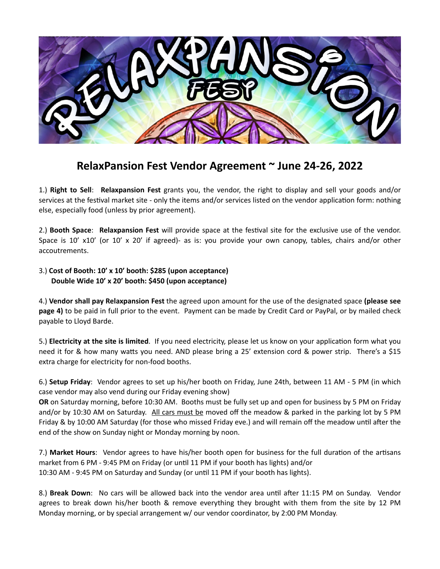

## **RelaxPansion Fest Vendor Agreement ~ June 24-26, 2022**

1.) **Right to Sell**: **Relaxpansion Fest** grants you, the vendor, the right to display and sell your goods and/or services at the festival market site - only the items and/or services listed on the vendor application form: nothing else, especially food (unless by prior agreement).

2.) **Booth Space**: **Relaxpansion Fest** will provide space at the festival site for the exclusive use of the vendor. Space is 10' x10' (or 10' x 20' if agreed)- as is: you provide your own canopy, tables, chairs and/or other accoutrements.

## 3.) **Cost of Booth: 10' x 10' booth: \$285 (upon acceptance) Double Wide 10' x 20' booth: \$450 (upon acceptance)**

4.) **Vendor shall pay Relaxpansion Fest** the agreed upon amount for the use of the designated space **(please see page 4)** to be paid in full prior to the event. Payment can be made by Credit Card or PayPal, or by mailed check payable to Lloyd Barde.

5.) **Electricity at the site is limited**. If you need electricity, please let us know on your application form what you need it for & how many watts you need. AND please bring a 25' extension cord & power strip. There's a \$15 extra charge for electricity for non-food booths.

6.) **Setup Friday**: Vendor agrees to set up his/her booth on Friday, June 24th, between 11 AM - 5 PM (in which case vendor may also vend during our Friday evening show)

**OR** on Saturday morning, before 10:30 AM. Booths must be fully set up and open for business by 5 PM on Friday and/or by 10:30 AM on Saturday. All cars must be moved off the meadow & parked in the parking lot by 5 PM Friday & by 10:00 AM Saturday (for those who missed Friday eve.) and will remain off the meadow until after the end of the show on Sunday night or Monday morning by noon.

7.) **Market Hours**: Vendor agrees to have his/her booth open for business for the full duration of the artisans market from 6 PM - 9:45 PM on Friday (or until 11 PM if your booth has lights) and/or 10:30 AM - 9:45 PM on Saturday and Sunday (or until 11 PM if your booth has lights).

8.) **Break Down**: No cars will be allowed back into the vendor area until after 11:15 PM on Sunday. Vendor agrees to break down his/her booth & remove everything they brought with them from the site by 12 PM Monday morning, or by special arrangement w/ our vendor coordinator, by 2:00 PM Monday.